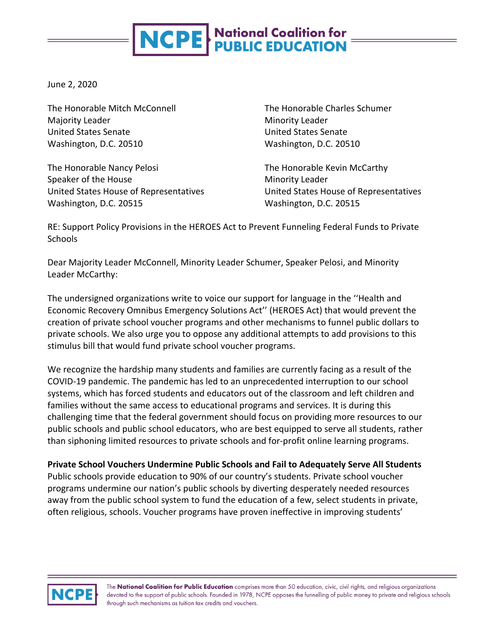# **NCPE** National Coalition for

June 2, 2020

The Honorable Mitch McConnell Majority Leader United States Senate Washington, D.C. 20510

The Honorable Nancy Pelosi Speaker of the House United States House of Representatives Washington, D.C. 20515

The Honorable Charles Schumer Minority Leader United States Senate Washington, D.C. 20510

The Honorable Kevin McCarthy Minority Leader United States House of Representatives Washington, D.C. 20515

RE: Support Policy Provisions in the HEROES Act to Prevent Funneling Federal Funds to Private **Schools** 

Dear Majority Leader McConnell, Minority Leader Schumer, Speaker Pelosi, and Minority Leader McCarthy:

The undersigned organizations write to voice our support for language in the ''Health and Economic Recovery Omnibus Emergency Solutions Act'' (HEROES Act) that would prevent the creation of private school voucher programs and other mechanisms to funnel public dollars to private schools. We also urge you to oppose any additional attempts to add provisions to this stimulus bill that would fund private school voucher programs.

We recognize the hardship many students and families are currently facing as a result of the COVID-19 pandemic. The pandemic has led to an unprecedented interruption to our school systems, which has forced students and educators out of the classroom and left children and families without the same access to educational programs and services. It is during this challenging time that the federal government should focus on providing more resources to our public schools and public school educators, who are best equipped to serve all students, rather than siphoning limited resources to private schools and for-profit online learning programs.

**Private School Vouchers Undermine Public Schools and Fail to Adequately Serve All Students**

Public schools provide education to 90% of our country's students. Private school voucher programs undermine our nation's public schools by diverting desperately needed resources away from the public school system to fund the education of a few, select students in private, often religious, schools. Voucher programs have proven ineffective in improving students'

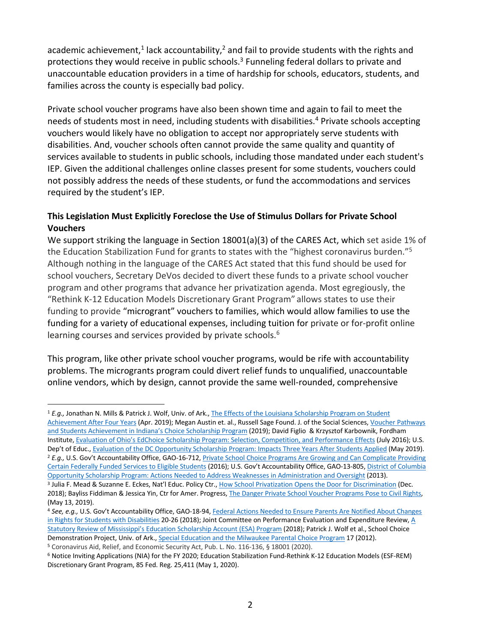academic achievement,<sup>1</sup> lack accountability,<sup>2</sup> and fail to provide students with the rights and protections they would receive in public schools.<sup>3</sup> Funneling federal dollars to private and unaccountable education providers in a time of hardship for schools, educators, students, and families across the county is especially bad policy.

Private school voucher programs have also been shown time and again to fail to meet the needs of students most in need, including students with disabilities.<sup>4</sup> Private schools accepting vouchers would likely have no obligation to accept nor appropriately serve students with disabilities. And, voucher schools often cannot provide the same quality and quantity of services available to students in public schools, including those mandated under each student's IEP. Given the additional challenges online classes present for some students, vouchers could not possibly address the needs of these students, or fund the accommodations and services required by the student's IEP.

## **This Legislation Must Explicitly Foreclose the Use of Stimulus Dollars for Private School Vouchers**

We support striking the language in Section 18001(a)(3) of the CARES Act, which set aside 1% of the Education Stabilization Fund for grants to states with the "highest coronavirus burden."5 Although nothing in the language of the CARES Act stated that this fund should be used for school vouchers, Secretary DeVos decided to divert these funds to a private school voucher program and other programs that advance her privatization agenda. Most egregiously, the "Rethink K-12 Education Models Discretionary Grant Program" allows states to use their funding to provide "microgrant" vouchers to families, which would allow families to use the funding for a variety of educational expenses, including tuition for private or for-profit online learning courses and services provided by private schools.<sup>6</sup>

This program, like other private school voucher programs, would be rife with accountability problems. The microgrants program could divert relief funds to unqualified, unaccountable online vendors, which by design, cannot provide the same well-rounded, comprehensive

<sup>1</sup> *E.g.,* Jonathan N. Mills & Patrick J. Wolf, Univ. of Ark., The Effects of the Louisiana Scholarship Program on Student Achievement After Four Years (Apr. 2019); Megan Austin et. al., Russell Sage Found. J. of the Social Sciences, Voucher Pathways and Students Achievement in Indiana's Choice Scholarship Program (2019); David Figlio & Krzysztof Karbownik, Fordham Institute, Evaluation of Ohio's EdChoice Scholarship Program: Selection, Competition, and Performance Effects (July 2016); U.S. Dep't of Educ., Evaluation of the DC Opportunity Scholarship Program: Impacts Three Years After Students Applied (May 2019). <sup>2</sup> *E.g.,* U.S. Gov't Accountability Office, GAO-16-712, Private School Choice Programs Are Growing and Can Complicate Providing Certain Federally Funded Services to Eligible Students (2016); U.S. Gov't Accountability Office, GAO-13-805, District of Columbia

Opportunity Scholarship Program: Actions Needed to Address Weaknesses in Administration and Oversight (2013). <sup>3</sup> Julia F. Mead & Suzanne E. Eckes, Nat'l Educ. Policy Ctr., How School Privatization Opens the Door for Discrimination (Dec. 2018); Bayliss Fiddiman & Jessica Yin, Ctr for Amer. Progress, The Danger Private School Voucher Programs Pose to Civil Rights, (May 13, 2019).

<sup>4</sup> *See, e.g.,* U.S. Gov't Accountability Office, GAO-18-94, Federal Actions Needed to Ensure Parents Are Notified About Changes in Rights for Students with Disabilities 20-26 (2018); Joint Committee on Performance Evaluation and Expenditure Review, A Statutory Review of Mississippi's Education Scholarship Account (ESA) Program (2018); Patrick J. Wolf et al., School Choice Demonstration Project, Univ. of Ark., Special Education and the Milwaukee Parental Choice Program 17 (2012).<br><sup>5</sup> Coronavirus Aid, Relief, and Economic Security Act, Pub. L. No. 116-136, § 18001 (2020).

<sup>6</sup> Notice Inviting Applications (NIA) for the FY 2020; Education Stabilization Fund-Rethink K-12 Education Models (ESF-REM) Discretionary Grant Program, 85 Fed. Reg. 25,411 (May 1, 2020).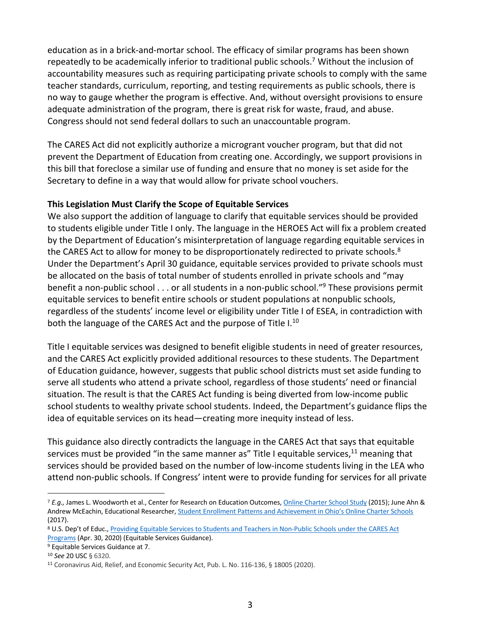education as in a brick-and-mortar school. The efficacy of similar programs has been shown repeatedly to be academically inferior to traditional public schools.<sup>7</sup> Without the inclusion of accountability measures such as requiring participating private schools to comply with the same teacher standards, curriculum, reporting, and testing requirements as public schools, there is no way to gauge whether the program is effective. And, without oversight provisions to ensure adequate administration of the program, there is great risk for waste, fraud, and abuse. Congress should not send federal dollars to such an unaccountable program.

The CARES Act did not explicitly authorize a microgrant voucher program, but that did not prevent the Department of Education from creating one. Accordingly, we support provisions in this bill that foreclose a similar use of funding and ensure that no money is set aside for the Secretary to define in a way that would allow for private school vouchers.

#### **This Legislation Must Clarify the Scope of Equitable Services**

We also support the addition of language to clarify that equitable services should be provided to students eligible under Title I only. The language in the HEROES Act will fix a problem created by the Department of Education's misinterpretation of language regarding equitable services in the CARES Act to allow for money to be disproportionately redirected to private schools.<sup>8</sup> Under the Department's April 30 guidance, equitable services provided to private schools must be allocated on the basis of total number of students enrolled in private schools and "may benefit a non-public school . . . or all students in a non-public school."9 These provisions permit equitable services to benefit entire schools or student populations at nonpublic schools, regardless of the students' income level or eligibility under Title I of ESEA, in contradiction with both the language of the CARES Act and the purpose of Title I.<sup>10</sup>

Title I equitable services was designed to benefit eligible students in need of greater resources, and the CARES Act explicitly provided additional resources to these students. The Department of Education guidance, however, suggests that public school districts must set aside funding to serve all students who attend a private school, regardless of those students' need or financial situation. The result is that the CARES Act funding is being diverted from low-income public school students to wealthy private school students. Indeed, the Department's guidance flips the idea of equitable services on its head—creating more inequity instead of less.

This guidance also directly contradicts the language in the CARES Act that says that equitable services must be provided "in the same manner as" Title I equitable services, $^{11}$  meaning that services should be provided based on the number of low-income students living in the LEA who attend non-public schools. If Congress' intent were to provide funding for services for all private

<sup>7</sup> *E.g.,* James L. Woodworth et al., Center for Research on Education Outcomes, Online Charter School Study (2015); June Ahn & Andrew McEachin, Educational Researcher, Student Enrollment Patterns and Achievement in Ohio's Online Charter Schools (2017).

<sup>8</sup> U.S. Dep't of Educ., Providing Equitable Services to Students and Teachers in Non-Public Schools under the CARES Act Programs (Apr. 30, 2020) (Equitable Services Guidance).

<sup>9</sup> Equitable Services Guidance at 7.

<sup>10</sup> *See* 20 USC § 6320.

<sup>11</sup> Coronavirus Aid, Relief, and Economic Security Act, Pub. L. No. 116-136, § 18005 (2020).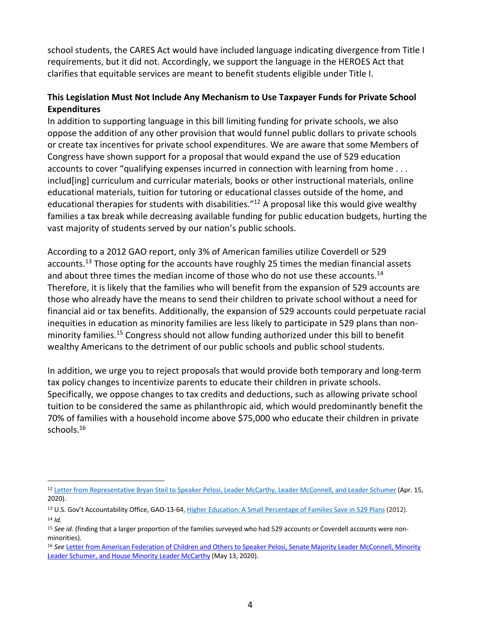school students, the CARES Act would have included language indicating divergence from Title I requirements, but it did not. Accordingly, we support the language in the HEROES Act that clarifies that equitable services are meant to benefit students eligible under Title I.

### **This Legislation Must Not Include Any Mechanism to Use Taxpayer Funds for Private School Expenditures**

In addition to supporting language in this bill limiting funding for private schools, we also oppose the addition of any other provision that would funnel public dollars to private schools or create tax incentives for private school expenditures. We are aware that some Members of Congress have shown support for a proposal that would expand the use of 529 education accounts to cover "qualifying expenses incurred in connection with learning from home . . . includ[ing] curriculum and curricular materials, books or other instructional materials, online educational materials, tuition for tutoring or educational classes outside of the home, and educational therapies for students with disabilities."<sup>12</sup> A proposal like this would give wealthy families a tax break while decreasing available funding for public education budgets, hurting the vast majority of students served by our nation's public schools.

According to a 2012 GAO report, only 3% of American families utilize Coverdell or 529 accounts.<sup>13</sup> Those opting for the accounts have roughly 25 times the median financial assets and about three times the median income of those who do not use these accounts.<sup>14</sup> Therefore, it is likely that the families who will benefit from the expansion of 529 accounts are those who already have the means to send their children to private school without a need for financial aid or tax benefits. Additionally, the expansion of 529 accounts could perpetuate racial inequities in education as minority families are less likely to participate in 529 plans than nonminority families.15 Congress should not allow funding authorized under this bill to benefit wealthy Americans to the detriment of our public schools and public school students.

In addition, we urge you to reject proposals that would provide both temporary and long-term tax policy changes to incentivize parents to educate their children in private schools. Specifically, we oppose changes to tax credits and deductions, such as allowing private school tuition to be considered the same as philanthropic aid, which would predominantly benefit the 70% of families with a household income above \$75,000 who educate their children in private schools.<sup>16</sup>

<sup>12</sup> Letter from Representative Bryan Steil to Speaker Pelosi, Leader McCarthy, Leader McConnell, and Leader Schumer (Apr. 15, 2020).

<sup>13</sup> U.S. Gov't Accountability Office, GAO-13-64, Higher Education: A Small Percentage of Families Save in 529 Plans (2012). <sup>14</sup> *Id.*

<sup>15</sup> *See id.* (finding that a larger proportion of the families surveyed who had 529 accounts or Coverdell accounts were nonminorities).

<sup>16</sup> *See* Letter from American Federation of Children and Others to Speaker Pelosi, Senate Majority Leader McConnell, Minority Leader Schumer, and House Minority Leader McCarthy (May 13, 2020).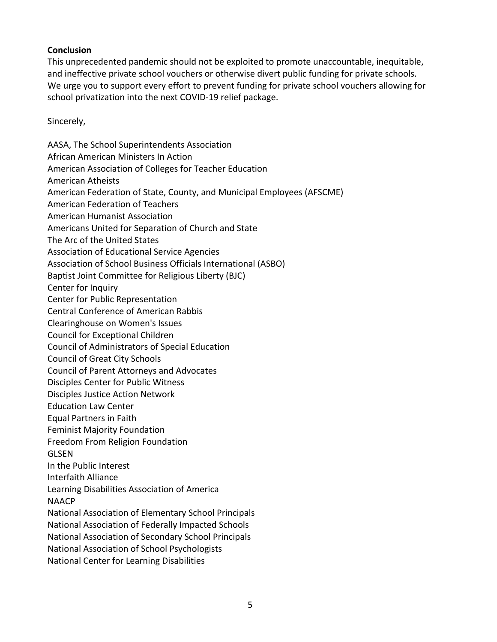#### **Conclusion**

This unprecedented pandemic should not be exploited to promote unaccountable, inequitable, and ineffective private school vouchers or otherwise divert public funding for private schools. We urge you to support every effort to prevent funding for private school vouchers allowing for school privatization into the next COVID-19 relief package.

Sincerely,

AASA, The School Superintendents Association African American Ministers In Action American Association of Colleges for Teacher Education American Atheists American Federation of State, County, and Municipal Employees (AFSCME) American Federation of Teachers American Humanist Association Americans United for Separation of Church and State The Arc of the United States Association of Educational Service Agencies Association of School Business Officials International (ASBO) Baptist Joint Committee for Religious Liberty (BJC) Center for Inquiry Center for Public Representation Central Conference of American Rabbis Clearinghouse on Women's Issues Council for Exceptional Children Council of Administrators of Special Education Council of Great City Schools Council of Parent Attorneys and Advocates Disciples Center for Public Witness Disciples Justice Action Network Education Law Center Equal Partners in Faith Feminist Majority Foundation Freedom From Religion Foundation GLSEN In the Public Interest Interfaith Alliance Learning Disabilities Association of America **NAACP** National Association of Elementary School Principals National Association of Federally Impacted Schools National Association of Secondary School Principals National Association of School Psychologists National Center for Learning Disabilities